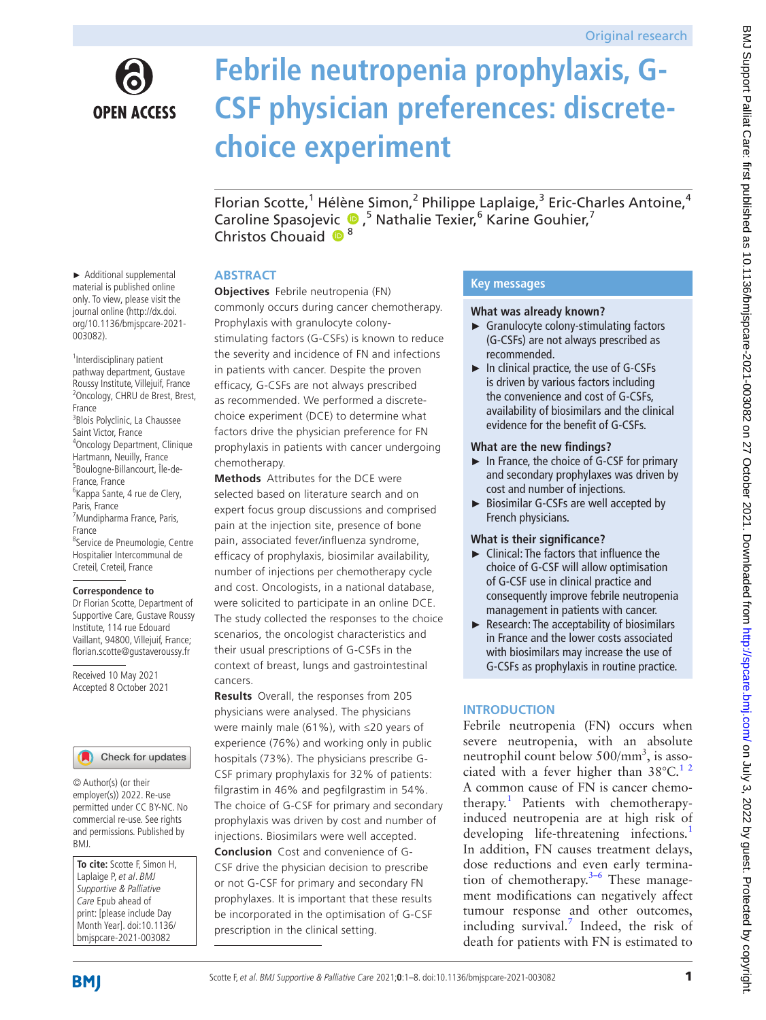

# **Febrile neutropenia prophylaxis, G-CSF physician preferences: discretechoice experiment**

Florian Scotte,<sup>1</sup> Hélène Simon,<sup>2</sup> Philippe Laplaige,<sup>3</sup> Eric-Charles Antoine,<sup>4</sup> Caroline Spasojevic <sup>®</sup>,<sup>5</sup> Nathalie Texier,<sup>6</sup> Karine Gouhier,<sup>7</sup> Christos Chouaid  $\bullet^8$ 

#### **ABSTRACT**

**Objectives** Febrile neutropenia (FN) commonly occurs during cancer chemotherapy. Prophylaxis with granulocyte colonystimulating factors (G-CSFs) is known to reduce the severity and incidence of FN and infections in patients with cancer. Despite the proven efficacy, G-CSFs are not always prescribed as recommended. We performed a discretechoice experiment (DCE) to determine what factors drive the physician preference for FN prophylaxis in patients with cancer undergoing chemotherapy.

**Methods** Attributes for the DCE were selected based on literature search and on expert focus group discussions and comprised pain at the injection site, presence of bone pain, associated fever/influenza syndrome, efficacy of prophylaxis, biosimilar availability, number of injections per chemotherapy cycle and cost. Oncologists, in a national database, were solicited to participate in an online DCE. The study collected the responses to the choice scenarios, the oncologist characteristics and their usual prescriptions of G-CSFs in the context of breast, lungs and gastrointestinal cancers.

**Results** Overall, the responses from 205 physicians were analysed. The physicians were mainly male (61%), with ≤20 years of experience (76%) and working only in public hospitals (73%). The physicians prescribe G-CSF primary prophylaxis for 32% of patients: filgrastim in 46% and pegfilgrastim in 54%. The choice of G-CSF for primary and secondary prophylaxis was driven by cost and number of injections. Biosimilars were well accepted. **Conclusion** Cost and convenience of G-CSF drive the physician decision to prescribe or not G-CSF for primary and secondary FN prophylaxes. It is important that these results be incorporated in the optimisation of G-CSF prescription in the clinical setting.

# **Key messages**

#### **What was already known?**

- ► Granulocyte colony-stimulating factors (G-CSFs) are not always prescribed as recommended.
- ► In clinical practice, the use of G-CSFs is driven by various factors including the convenience and cost of G-CSFs, availability of biosimilars and the clinical evidence for the benefit of G-CSFs.

#### **What are the new findings?**

- ► In France, the choice of G-CSF for primary and secondary prophylaxes was driven by cost and number of injections.
- ► Biosimilar G-CSFs are well accepted by French physicians.

#### **What is their significance?**

- ► Clinical: The factors that influence the choice of G-CSF will allow optimisation of G-CSF use in clinical practice and consequently improve febrile neutropenia management in patients with cancer.
- ► Research: The acceptability of biosimilars in France and the lower costs associated with biosimilars may increase the use of G-CSFs as prophylaxis in routine practice.

# **INTRODUCTION**

Febrile neutropenia (FN) occurs when severe neutropenia, with an absolute neutrophil count below  $500/mm^3$ , is associated with a fever higher than  $38^{\circ}$ C.<sup>12</sup> A common cause of FN is cancer chemotherapy.<sup>1</sup> Patients with chemotherapyinduced neutropenia are at high risk of developing life-threatening infections.<sup>[1](#page-7-0)</sup> In addition, FN causes treatment delays, dose reductions and even early termination of chemotherapy. $3-6$  These management modifications can negatively affect tumour response and other outcomes, including survival.<sup>[7](#page-7-2)</sup> Indeed, the risk of death for patients with FN is estimated to

► Additional supplemental material is published online only. To view, please visit the journal online [\(http://dx.doi.](http://dx.doi.org/10.1136/bmjspcare-2021-003082) [org/10.1136/bmjspcare-2021-](http://dx.doi.org/10.1136/bmjspcare-2021-003082) [003082\)](http://dx.doi.org/10.1136/bmjspcare-2021-003082).

<sup>1</sup>Interdisciplinary patient pathway department, Gustave Roussy Institute, Villejuif, France <sup>2</sup> Oncology, CHRU de Brest, Brest, France 3 Blois Polyclinic, La Chaussee Saint Victor, France 4 Oncology Department, Clinique Hartmann, Neuilly, France 5 Boulogne-Billancourt, Île-de-France, France 6 Kappa Sante, 4 rue de Clery, Paris, France 7 Mundipharma France, Paris, France <sup>8</sup>Service de Pneumologie, Centre Hospitalier Intercommunal de Creteil, Creteil, France

#### **Correspondence to**

Dr Florian Scotte, Department of Supportive Care, Gustave Roussy Institute, 114 rue Edouard Vaillant, 94800, Villejuif, France; florian.scotte@gustaveroussy.fr

Received 10 May 2021 Accepted 8 October 2021



© Author(s) (or their employer(s)) 2022. Re-use permitted under CC BY-NC. No commercial re-use. See rights and permissions. Published by BMJ.

**To cite:** Scotte F, Simon H, Laplaige P, et al. BMJ Supportive & Palliative Care Epub ahead of print: [please include Day Month Year]. doi:10.1136/ bmjspcare-2021-003082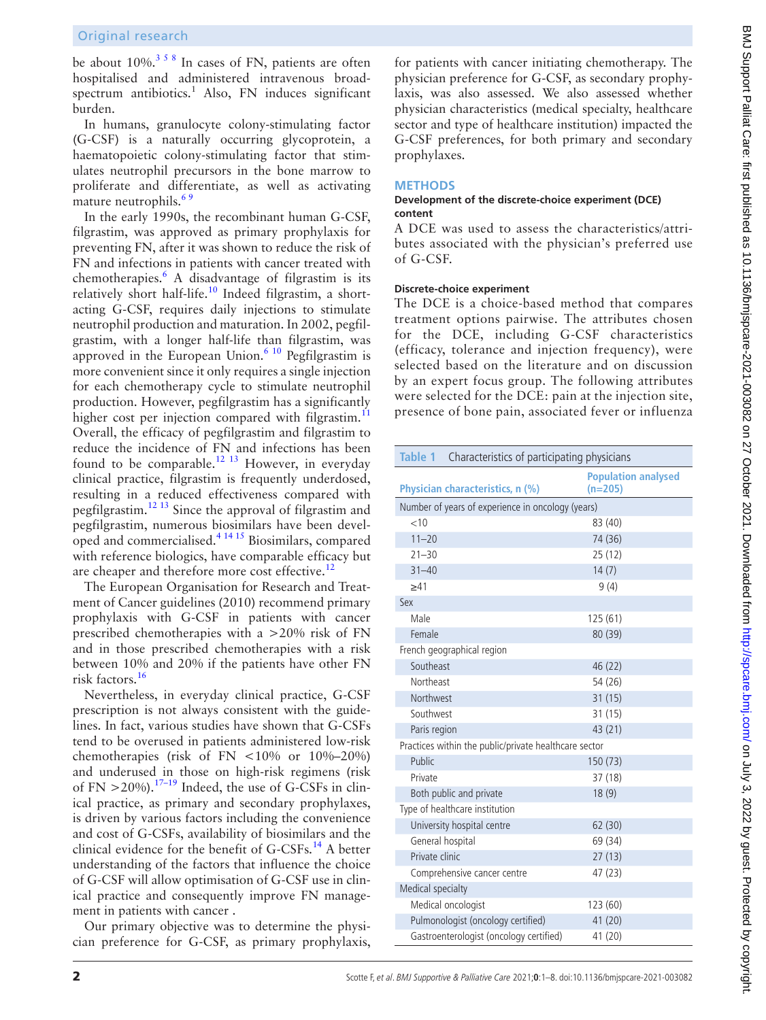be about  $10\%$ <sup>[3 5 8](#page-7-1)</sup> In cases of FN, patients are often hospitalised and administered intravenous broadspectrum antibiotics.<sup>1</sup> Also, FN induces significant burden.

In humans, granulocyte colony-stimulating factor (G-CSF) is a naturally occurring glycoprotein, a haematopoietic colony-stimulating factor that stimulates neutrophil precursors in the bone marrow to proliferate and differentiate, as well as activating mature neutrophils.<sup>65</sup>

In the early 1990s, the recombinant human G-CSF, filgrastim, was approved as primary prophylaxis for preventing FN, after it was shown to reduce the risk of FN and infections in patients with cancer treated with chemotherapies.[6](#page-7-3) A disadvantage of filgrastim is its relatively short half-life.<sup>[10](#page-7-4)</sup> Indeed filgrastim, a shortacting G-CSF, requires daily injections to stimulate neutrophil production and maturation. In 2002, pegfilgrastim, with a longer half-life than filgrastim, was approved in the European Union.<sup>6 10</sup> Pegfilgrastim is more convenient since it only requires a single injection for each chemotherapy cycle to stimulate neutrophil production. However, pegfilgrastim has a significantly higher cost per injection compared with filgrastim.<sup>[11](#page-7-5)</sup> Overall, the efficacy of pegfilgrastim and filgrastim to reduce the incidence of FN and infections has been found to be comparable.<sup>12 13</sup> However, in everyday clinical practice, filgrastim is frequently underdosed, resulting in a reduced effectiveness compared with pegfilgrastim.[12 13](#page-7-6) Since the approval of filgrastim and pegfilgrastim, numerous biosimilars have been developed and commercialised[.4 14 15](#page-7-7) Biosimilars, compared with reference biologics, have comparable efficacy but are cheaper and therefore more cost effective.<sup>12</sup>

The European Organisation for Research and Treatment of Cancer guidelines (2010) recommend primary prophylaxis with G-CSF in patients with cancer prescribed chemotherapies with a >20% risk of FN and in those prescribed chemotherapies with a risk between 10% and 20% if the patients have other FN risk factors.[16](#page-7-8)

Nevertheless, in everyday clinical practice, G-CSF prescription is not always consistent with the guidelines. In fact, various studies have shown that G-CSFs tend to be overused in patients administered low-risk chemotherapies (risk of FN <10% or 10%–20%) and underused in those on high-risk regimens (risk of FN  $>$  20%).<sup>[17–19](#page-7-9)</sup> Indeed, the use of G-CSFs in clinical practice, as primary and secondary prophylaxes, is driven by various factors including the convenience and cost of G-CSFs, availability of biosimilars and the clinical evidence for the benefit of  $G$ -CSFs.<sup>14</sup> A better understanding of the factors that influence the choice of G-CSF will allow optimisation of G-CSF use in clinical practice and consequently improve FN management in patients with cancer .

Our primary objective was to determine the physician preference for G-CSF, as primary prophylaxis,

for patients with cancer initiating chemotherapy. The physician preference for G-CSF, as secondary prophylaxis, was also assessed. We also assessed whether physician characteristics (medical specialty, healthcare sector and type of healthcare institution) impacted the G-CSF preferences, for both primary and secondary prophylaxes.

# **METHODS**

#### **Development of the discrete-choice experiment (DCE) content**

A DCE was used to assess the characteristics/attributes associated with the physician's preferred use of G-CSF.

## **Discrete-choice experiment**

The DCE is a choice-based method that compares treatment options pairwise. The attributes chosen for the DCE, including G-CSF characteristics (efficacy, tolerance and injection frequency), were selected based on the literature and on discussion by an expert focus group. The following attributes were selected for the DCE: pain at the injection site, presence of bone pain, associated fever or influenza

<span id="page-1-0"></span>

| <b>Table 1</b><br>Characteristics of participating physicians |                                         |  |  |  |  |
|---------------------------------------------------------------|-----------------------------------------|--|--|--|--|
| Physician characteristics, n (%)                              | <b>Population analysed</b><br>$(n=205)$ |  |  |  |  |
| Number of years of experience in oncology (years)             |                                         |  |  |  |  |
| <10                                                           | 83 (40)                                 |  |  |  |  |
| $11 - 20$                                                     | 74 (36)                                 |  |  |  |  |
| $21 - 30$                                                     | 25(12)                                  |  |  |  |  |
| $31 - 40$                                                     | 14(7)                                   |  |  |  |  |
| >41                                                           | 9(4)                                    |  |  |  |  |
| Sex                                                           |                                         |  |  |  |  |
| Male                                                          | 125 (61)                                |  |  |  |  |
| Female                                                        | 80 (39)                                 |  |  |  |  |
| French geographical region                                    |                                         |  |  |  |  |
| Southeast                                                     | 46 (22)                                 |  |  |  |  |
| Northeast                                                     | 54 (26)                                 |  |  |  |  |
| Northwest                                                     | 31(15)                                  |  |  |  |  |
| Southwest                                                     | 31 (15)                                 |  |  |  |  |
| Paris region                                                  | 43 (21)                                 |  |  |  |  |
| Practices within the public/private healthcare sector         |                                         |  |  |  |  |
| Public                                                        | 150 (73)                                |  |  |  |  |
| Private                                                       | 37 (18)                                 |  |  |  |  |
| Both public and private                                       | 18(9)                                   |  |  |  |  |
| Type of healthcare institution                                |                                         |  |  |  |  |
| University hospital centre                                    | 62 (30)                                 |  |  |  |  |
| General hospital                                              | 69 (34)                                 |  |  |  |  |
| Private clinic                                                | 27(13)                                  |  |  |  |  |
| Comprehensive cancer centre                                   | 47 (23)                                 |  |  |  |  |
| Medical specialty                                             |                                         |  |  |  |  |
| Medical oncologist                                            | 123 (60)                                |  |  |  |  |
| Pulmonologist (oncology certified)                            | 41(20)                                  |  |  |  |  |
| Gastroenterologist (oncology certified)                       | 41 (20)                                 |  |  |  |  |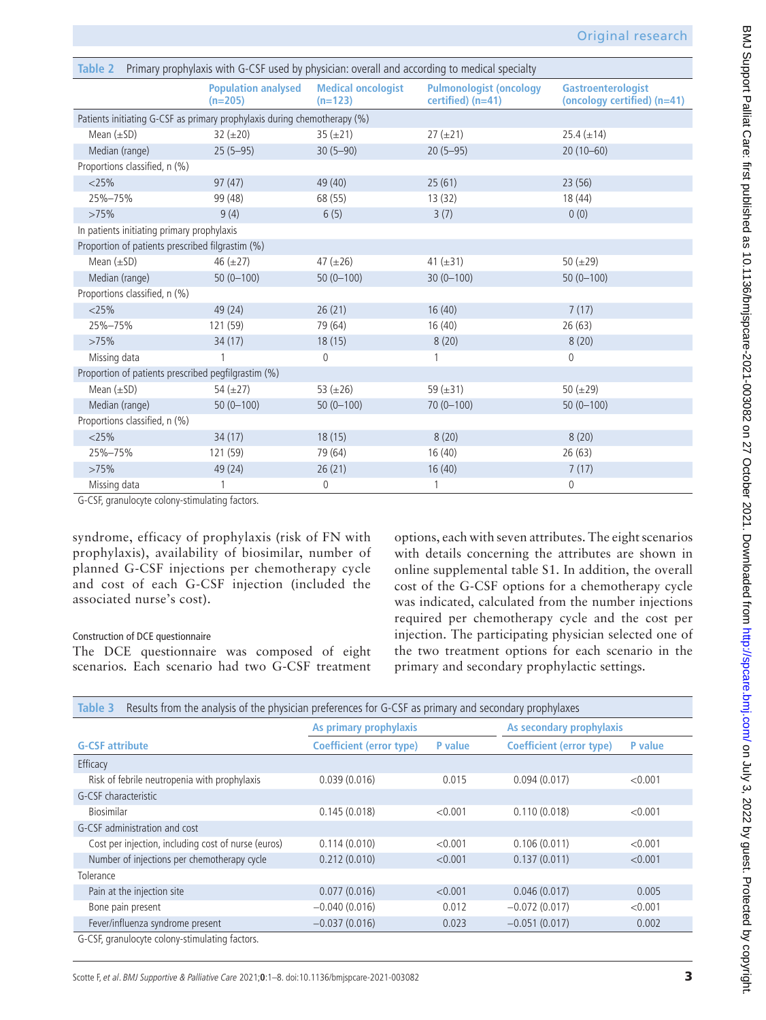<span id="page-2-0"></span>

| Primary prophylaxis with G-CSF used by physician: overall and according to medical specialty<br>Table 2 |                                         |                                        |                                                          |                                                          |  |  |  |
|---------------------------------------------------------------------------------------------------------|-----------------------------------------|----------------------------------------|----------------------------------------------------------|----------------------------------------------------------|--|--|--|
|                                                                                                         | <b>Population analysed</b><br>$(n=205)$ | <b>Medical oncologist</b><br>$(n=123)$ | <b>Pulmonologist (oncology</b><br>$certified$ ( $n=41$ ) | <b>Gastroenterologist</b><br>(oncology certified) (n=41) |  |  |  |
| Patients initiating G-CSF as primary prophylaxis during chemotherapy (%)                                |                                         |                                        |                                                          |                                                          |  |  |  |
| Mean $(\pm SD)$                                                                                         | $32 (\pm 20)$                           | $35 (\pm 21)$                          | $27 (\pm 21)$                                            | $25.4 (\pm 14)$                                          |  |  |  |
| Median (range)                                                                                          | $25(5-95)$                              | $30(5 - 90)$                           | $20(5-95)$                                               | $20(10-60)$                                              |  |  |  |
| Proportions classified, n (%)                                                                           |                                         |                                        |                                                          |                                                          |  |  |  |
| $<$ 25%                                                                                                 | 97(47)                                  | 49 (40)                                | 25(61)                                                   | 23(56)                                                   |  |  |  |
| 25%-75%                                                                                                 | 99 (48)                                 | 68 (55)                                | 13(32)                                                   | 18(44)                                                   |  |  |  |
| >75%                                                                                                    | 9(4)                                    | 6(5)                                   | 3(7)                                                     | 0(0)                                                     |  |  |  |
| In patients initiating primary prophylaxis                                                              |                                         |                                        |                                                          |                                                          |  |  |  |
| Proportion of patients prescribed filgrastim (%)                                                        |                                         |                                        |                                                          |                                                          |  |  |  |
| Mean $(\pm SD)$                                                                                         | 46 $(\pm 27)$                           | 47 $(\pm 26)$                          | 41 $(\pm 31)$                                            | 50 $(\pm 29)$                                            |  |  |  |
| Median (range)                                                                                          | $50(0-100)$                             | $50(0-100)$                            | $30(0-100)$                                              | $50(0-100)$                                              |  |  |  |
| Proportions classified, n (%)                                                                           |                                         |                                        |                                                          |                                                          |  |  |  |
| $<$ 25%                                                                                                 | 49 (24)                                 | 26(21)                                 | 16(40)                                                   | 7(17)                                                    |  |  |  |
| 25%-75%                                                                                                 | 121 (59)                                | 79 (64)                                | 16(40)                                                   | 26(63)                                                   |  |  |  |
| >75%                                                                                                    | 34(17)                                  | 18(15)                                 | 8(20)                                                    | 8(20)                                                    |  |  |  |
| Missing data                                                                                            |                                         | $\theta$                               |                                                          | $\mathbf 0$                                              |  |  |  |
| Proportion of patients prescribed pegfilgrastim (%)                                                     |                                         |                                        |                                                          |                                                          |  |  |  |
| Mean $(\pm SD)$                                                                                         | 54 $(\pm 27)$                           | 53 ( $\pm$ 26)                         | 59 $(\pm 31)$                                            | 50 $(\pm 29)$                                            |  |  |  |
| Median (range)                                                                                          | $50(0-100)$                             | $50(0-100)$                            | $70(0 - 100)$                                            | $50(0-100)$                                              |  |  |  |
| Proportions classified, n (%)                                                                           |                                         |                                        |                                                          |                                                          |  |  |  |
| $<$ 25%                                                                                                 | 34(17)                                  | 18(15)                                 | 8(20)                                                    | 8(20)                                                    |  |  |  |
| 25%-75%                                                                                                 | 121 (59)                                | 79 (64)                                | 16(40)                                                   | 26(63)                                                   |  |  |  |
| >75%                                                                                                    | 49 (24)                                 | 26(21)                                 | 16(40)                                                   | 7(17)                                                    |  |  |  |
| Missing data                                                                                            |                                         | $\overline{0}$                         |                                                          | $\mathbf 0$                                              |  |  |  |

G-CSF, granulocyte colony-stimulating factors.

syndrome, efficacy of prophylaxis (risk of FN with prophylaxis), availability of biosimilar, number of planned G-CSF injections per chemotherapy cycle and cost of each G-CSF injection (included the associated nurse's cost).

#### Construction of DCE questionnaire

The DCE questionnaire was composed of eight scenarios. Each scenario had two G-CSF treatment

options, each with seven attributes. The eight scenarios with details concerning the attributes are shown in [online supplemental table S1.](https://dx.doi.org/10.1136/bmjspcare-2021-003082) In addition, the overall cost of the G-CSF options for a chemotherapy cycle was indicated, calculated from the number injections required per chemotherapy cycle and the cost per injection. The participating physician selected one of the two treatment options for each scenario in the primary and secondary prophylactic settings.

<span id="page-2-1"></span>

| Results from the analysis of the physician preferences for G-CSF as primary and secondary prophylaxes<br>Table 3 |                                 |                |                                 |                |  |  |  |
|------------------------------------------------------------------------------------------------------------------|---------------------------------|----------------|---------------------------------|----------------|--|--|--|
|                                                                                                                  | As primary prophylaxis          |                | As secondary prophylaxis        |                |  |  |  |
| <b>G-CSF attribute</b>                                                                                           | <b>Coefficient (error type)</b> | <b>P</b> value | <b>Coefficient (error type)</b> | <b>P</b> value |  |  |  |
| Efficacy                                                                                                         |                                 |                |                                 |                |  |  |  |
| Risk of febrile neutropenia with prophylaxis                                                                     | 0.039(0.016)                    | 0.015          | 0.094(0.017)                    | < 0.001        |  |  |  |
| G-CSF characteristic                                                                                             |                                 |                |                                 |                |  |  |  |
| Biosimilar                                                                                                       | 0.145(0.018)                    | < 0.001        | 0.110(0.018)                    | < 0.001        |  |  |  |
| G-CSF administration and cost                                                                                    |                                 |                |                                 |                |  |  |  |
| Cost per injection, including cost of nurse (euros)                                                              | 0.114(0.010)                    | < 0.001        | 0.106(0.011)                    | < 0.001        |  |  |  |
| Number of injections per chemotherapy cycle                                                                      | 0.212(0.010)                    | < 0.001        | 0.137(0.011)                    | < 0.001        |  |  |  |
| Tolerance                                                                                                        |                                 |                |                                 |                |  |  |  |
| Pain at the injection site                                                                                       | 0.077(0.016)                    | < 0.001        | 0.046(0.017)                    | 0.005          |  |  |  |
| Bone pain present                                                                                                | $-0.040(0.016)$                 | 0.012          | $-0.072(0.017)$                 | < 0.001        |  |  |  |
| Fever/influenza syndrome present                                                                                 | $-0.037(0.016)$                 | 0.023          | $-0.051(0.017)$                 | 0.002          |  |  |  |
| G-CSF, granulocyte colony-stimulating factors.                                                                   |                                 |                |                                 |                |  |  |  |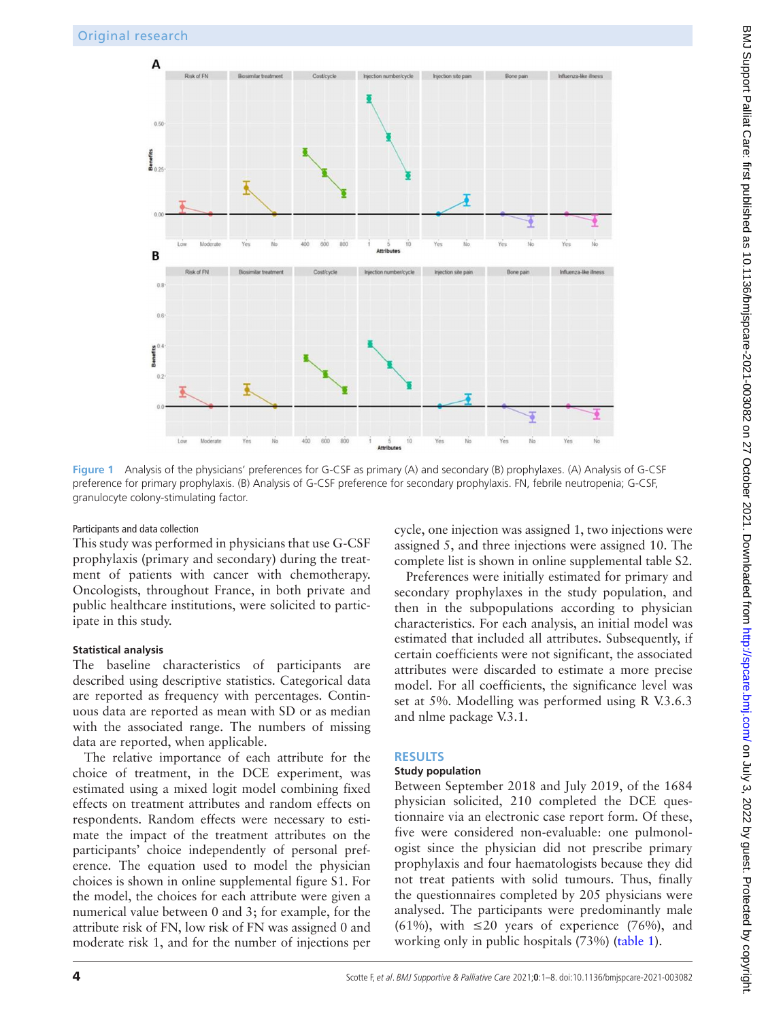

<span id="page-3-0"></span>**Figure 1** Analysis of the physicians' preferences for G-CSF as primary (A) and secondary (B) prophylaxes. (A) Analysis of G-CSF preference for primary prophylaxis. (B) Analysis of G-CSF preference for secondary prophylaxis. FN, febrile neutropenia; G-CSF, granulocyte colony-stimulating factor.

#### Participants and data collection

This study was performed in physicians that use G-CSF prophylaxis (primary and secondary) during the treatment of patients with cancer with chemotherapy. Oncologists, throughout France, in both private and public healthcare institutions, were solicited to participate in this study.

#### **Statistical analysis**

The baseline characteristics of participants are described using descriptive statistics. Categorical data are reported as frequency with percentages. Continuous data are reported as mean with SD or as median with the associated range. The numbers of missing data are reported, when applicable.

The relative importance of each attribute for the choice of treatment, in the DCE experiment, was estimated using a mixed logit model combining fixed effects on treatment attributes and random effects on respondents. Random effects were necessary to estimate the impact of the treatment attributes on the participants' choice independently of personal preference. The equation used to model the physician choices is shown in [online supplemental figure S1](https://dx.doi.org/10.1136/bmjspcare-2021-003082). For the model, the choices for each attribute were given a numerical value between 0 and 3; for example, for the attribute risk of FN, low risk of FN was assigned 0 and moderate risk 1, and for the number of injections per

cycle, one injection was assigned 1, two injections were assigned 5, and three injections were assigned 10. The complete list is shown in [online supplemental table S2.](https://dx.doi.org/10.1136/bmjspcare-2021-003082)

Preferences were initially estimated for primary and secondary prophylaxes in the study population, and then in the subpopulations according to physician characteristics. For each analysis, an initial model was estimated that included all attributes. Subsequently, if certain coefficients were not significant, the associated attributes were discarded to estimate a more precise model. For all coefficients, the significance level was set at 5%. Modelling was performed using R V.3.6.3 and nlme package V.3.1.

# **RESULTS**

#### **Study population**

Between September 2018 and July 2019, of the 1684 physician solicited, 210 completed the DCE questionnaire via an electronic case report form. Of these, five were considered non-evaluable: one pulmonologist since the physician did not prescribe primary prophylaxis and four haematologists because they did not treat patients with solid tumours. Thus, finally the questionnaires completed by 205 physicians were analysed. The participants were predominantly male (61%), with  $\leq 20$  years of experience (76%), and working only in public hospitals (73%) [\(table](#page-1-0) 1).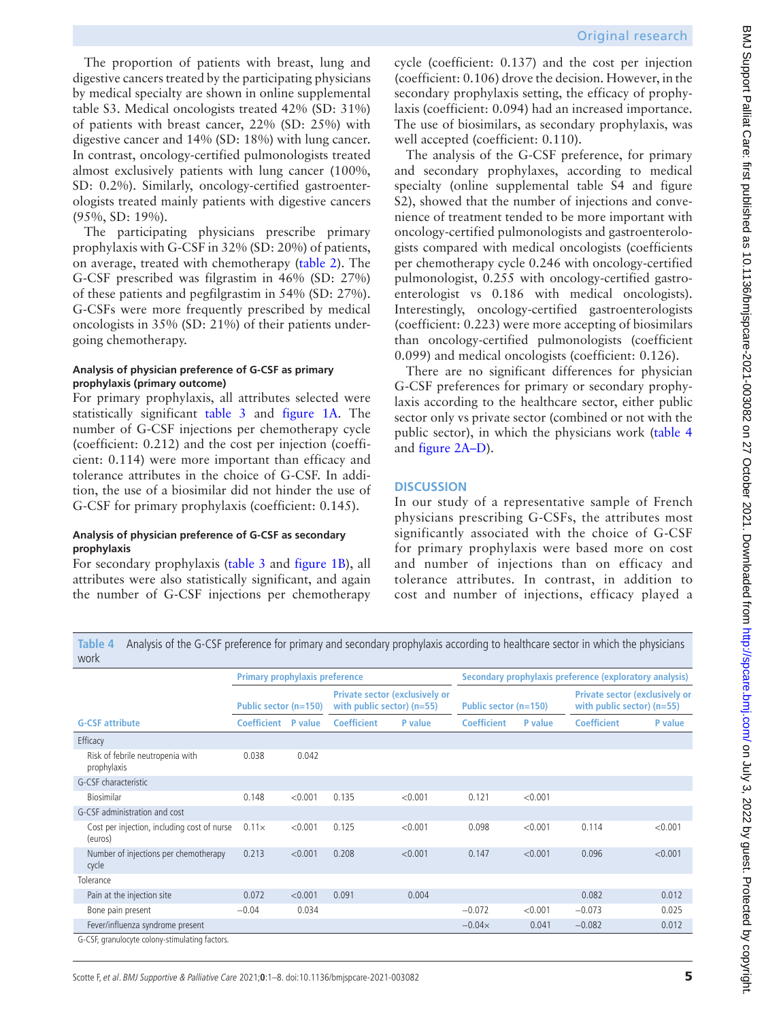The proportion of patients with breast, lung and digestive cancers treated by the participating physicians by medical specialty are shown in [online supplemental](https://dx.doi.org/10.1136/bmjspcare-2021-003082) [table S3.](https://dx.doi.org/10.1136/bmjspcare-2021-003082) Medical oncologists treated 42% (SD: 31%) of patients with breast cancer, 22% (SD: 25%) with digestive cancer and 14% (SD: 18%) with lung cancer. In contrast, oncology-certified pulmonologists treated almost exclusively patients with lung cancer (100%, SD: 0.2%). Similarly, oncology-certified gastroenterologists treated mainly patients with digestive cancers (95%, SD: 19%).

The participating physicians prescribe primary prophylaxis with G-CSF in 32% (SD: 20%) of patients, on average, treated with chemotherapy ([table](#page-2-0) 2). The G-CSF prescribed was filgrastim in 46% (SD: 27%) of these patients and pegfilgrastim in 54% (SD: 27%). G-CSFs were more frequently prescribed by medical oncologists in 35% (SD: 21%) of their patients undergoing chemotherapy.

#### **Analysis of physician preference of G-CSF as primary prophylaxis (primary outcome)**

For primary prophylaxis, all attributes selected were statistically significant [table](#page-2-1) 3 and [figure](#page-3-0) 1A. The number of G-CSF injections per chemotherapy cycle (coefficient: 0.212) and the cost per injection (coefficient: 0.114) were more important than efficacy and tolerance attributes in the choice of G-CSF. In addition, the use of a biosimilar did not hinder the use of G-CSF for primary prophylaxis (coefficient: 0.145).

#### **Analysis of physician preference of G-CSF as secondary prophylaxis**

For secondary prophylaxis [\(table](#page-2-1) 3 and [figure](#page-3-0) 1B), all attributes were also statistically significant, and again the number of G-CSF injections per chemotherapy

cycle (coefficient: 0.137) and the cost per injection (coefficient: 0.106) drove the decision. However, in the secondary prophylaxis setting, the efficacy of prophylaxis (coefficient: 0.094) had an increased importance. The use of biosimilars, as secondary prophylaxis, was well accepted (coefficient: 0.110).

The analysis of the G-CSF preference, for primary and secondary prophylaxes, according to medical specialty ([online supplemental table S4 and figure](https://dx.doi.org/10.1136/bmjspcare-2021-003082)  [S2](https://dx.doi.org/10.1136/bmjspcare-2021-003082)), showed that the number of injections and convenience of treatment tended to be more important with oncology-certified pulmonologists and gastroenterologists compared with medical oncologists (coefficients per chemotherapy cycle 0.246 with oncology-certified pulmonologist, 0.255 with oncology-certified gastroenterologist vs 0.186 with medical oncologists). Interestingly, oncology-certified gastroenterologists (coefficient: 0.223) were more accepting of biosimilars than oncology-certified pulmonologists (coefficient 0.099) and medical oncologists (coefficient: 0.126).

There are no significant differences for physician G-CSF preferences for primary or secondary prophylaxis according to the healthcare sector, either public sector only vs private sector (combined or not with the public sector), in which the physicians work ([table](#page-4-0) 4 and [figure](#page-5-0) 2A–D).

## **DISCUSSION**

In our study of a representative sample of French physicians prescribing G-CSFs, the attributes most significantly associated with the choice of G-CSF for primary prophylaxis were based more on cost and number of injections than on efficacy and tolerance attributes. In contrast, in addition to cost and number of injections, efficacy played a

<span id="page-4-0"></span>**Table 4** Analysis of the G-CSF preference for primary and secondary prophylaxis according to healthcare sector in which the physicians work

|                                                        | <b>Primary prophylaxis preference</b> |                |                                                                       |                | Secondary prophylaxis preference (exploratory analysis) |                |                                                                       |         |
|--------------------------------------------------------|---------------------------------------|----------------|-----------------------------------------------------------------------|----------------|---------------------------------------------------------|----------------|-----------------------------------------------------------------------|---------|
|                                                        | Public sector (n=150)                 |                | <b>Private sector (exclusively or</b><br>with public sector) $(n=55)$ |                | Public sector (n=150)                                   |                | <b>Private sector (exclusively or</b><br>with public sector) $(n=55)$ |         |
| <b>G-CSF attribute</b>                                 | <b>Coefficient</b>                    | <b>P</b> value | <b>Coefficient</b>                                                    | <b>P</b> value | <b>Coefficient</b>                                      | <b>P</b> value | <b>Coefficient</b>                                                    | P value |
| Efficacy                                               |                                       |                |                                                                       |                |                                                         |                |                                                                       |         |
| Risk of febrile neutropenia with<br>prophylaxis        | 0.038                                 | 0.042          |                                                                       |                |                                                         |                |                                                                       |         |
| G-CSF characteristic                                   |                                       |                |                                                                       |                |                                                         |                |                                                                       |         |
| <b>Biosimilar</b>                                      | 0.148                                 | < 0.001        | 0.135                                                                 | < 0.001        | 0.121                                                   | < 0.001        |                                                                       |         |
| G-CSF administration and cost                          |                                       |                |                                                                       |                |                                                         |                |                                                                       |         |
| Cost per injection, including cost of nurse<br>(euros) | $0.11\times$                          | < 0.001        | 0.125                                                                 | < 0.001        | 0.098                                                   | < 0.001        | 0.114                                                                 | < 0.001 |
| Number of injections per chemotherapy<br>cycle         | 0.213                                 | < 0.001        | 0.208                                                                 | < 0.001        | 0.147                                                   | < 0.001        | 0.096                                                                 | < 0.001 |
| Tolerance                                              |                                       |                |                                                                       |                |                                                         |                |                                                                       |         |
| Pain at the injection site                             | 0.072                                 | < 0.001        | 0.091                                                                 | 0.004          |                                                         |                | 0.082                                                                 | 0.012   |
| Bone pain present                                      | $-0.04$                               | 0.034          |                                                                       |                | $-0.072$                                                | < 0.001        | $-0.073$                                                              | 0.025   |
| Fever/influenza syndrome present                       |                                       |                |                                                                       |                | $-0.04\times$                                           | 0.041          | $-0.082$                                                              | 0.012   |
| G-CSF, granulocyte colony-stimulating factors.         |                                       |                |                                                                       |                |                                                         |                |                                                                       |         |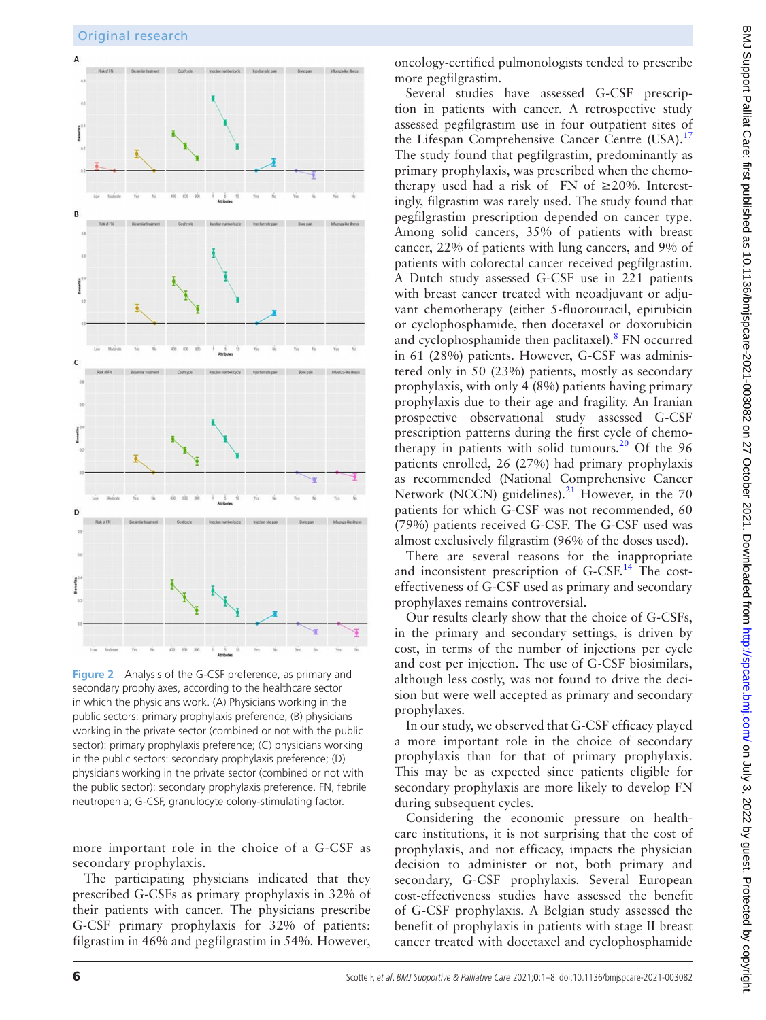

<span id="page-5-0"></span>**Figure 2** Analysis of the G-CSF preference, as primary and secondary prophylaxes, according to the healthcare sector in which the physicians work. (A) Physicians working in the public sectors: primary prophylaxis preference; (B) physicians working in the private sector (combined or not with the public sector): primary prophylaxis preference; (C) physicians working in the public sectors: secondary prophylaxis preference; (D) physicians working in the private sector (combined or not with the public sector): secondary prophylaxis preference. FN, febrile neutropenia; G-CSF, granulocyte colony-stimulating factor.

more important role in the choice of a G-CSF as secondary prophylaxis.

The participating physicians indicated that they prescribed G-CSFs as primary prophylaxis in 32% of their patients with cancer. The physicians prescribe G-CSF primary prophylaxis for 32% of patients: filgrastim in 46% and pegfilgrastim in 54%. However,

oncology-certified pulmonologists tended to prescribe more pegfilgrastim.

Several studies have assessed G-CSF prescription in patients with cancer. A retrospective study assessed pegfilgrastim use in four outpatient sites of the Lifespan Comprehensive Cancer Centre (USA).<sup>[17](#page-7-9)</sup> The study found that pegfilgrastim, predominantly as primary prophylaxis, was prescribed when the chemotherapy used had a risk of FN of  $\geq$ 20%. Interestingly, filgrastim was rarely used. The study found that pegfilgrastim prescription depended on cancer type. Among solid cancers, 35% of patients with breast cancer, 22% of patients with lung cancers, and 9% of patients with colorectal cancer received pegfilgrastim. A Dutch study assessed G-CSF use in 221 patients with breast cancer treated with neoadjuvant or adjuvant chemotherapy (either 5-fluorouracil, epirubicin or cyclophosphamide, then docetaxel or doxorubicin and cyclophosphamide then paclitaxel).<sup>[8](#page-7-11)</sup> FN occurred in 61 (28%) patients. However, G-CSF was administered only in 50 (23%) patients, mostly as secondary prophylaxis, with only 4 (8%) patients having primary prophylaxis due to their age and fragility. An Iranian prospective observational study assessed G-CSF prescription patterns during the first cycle of chemo-therapy in patients with solid tumours.<sup>[20](#page-7-12)</sup> Of the 96 patients enrolled, 26 (27%) had primary prophylaxis as recommended (National Comprehensive Cancer Network (NCCN) guidelines). $^{21}$  $^{21}$  $^{21}$  However, in the 70 patients for which G-CSF was not recommended, 60 (79%) patients received G-CSF. The G-CSF used was almost exclusively filgrastim (96% of the doses used).

There are several reasons for the inappropriate and inconsistent prescription of G-CSF.<sup>14</sup> The costeffectiveness of G-CSF used as primary and secondary prophylaxes remains controversial.

Our results clearly show that the choice of G-CSFs, in the primary and secondary settings, is driven by cost, in terms of the number of injections per cycle and cost per injection. The use of G-CSF biosimilars, although less costly, was not found to drive the decision but were well accepted as primary and secondary prophylaxes.

In our study, we observed that G-CSF efficacy played a more important role in the choice of secondary prophylaxis than for that of primary prophylaxis. This may be as expected since patients eligible for secondary prophylaxis are more likely to develop FN during subsequent cycles.

Considering the economic pressure on healthcare institutions, it is not surprising that the cost of prophylaxis, and not efficacy, impacts the physician decision to administer or not, both primary and secondary, G-CSF prophylaxis. Several European cost-effectiveness studies have assessed the benefit of G-CSF prophylaxis. A Belgian study assessed the benefit of prophylaxis in patients with stage II breast cancer treated with docetaxel and cyclophosphamide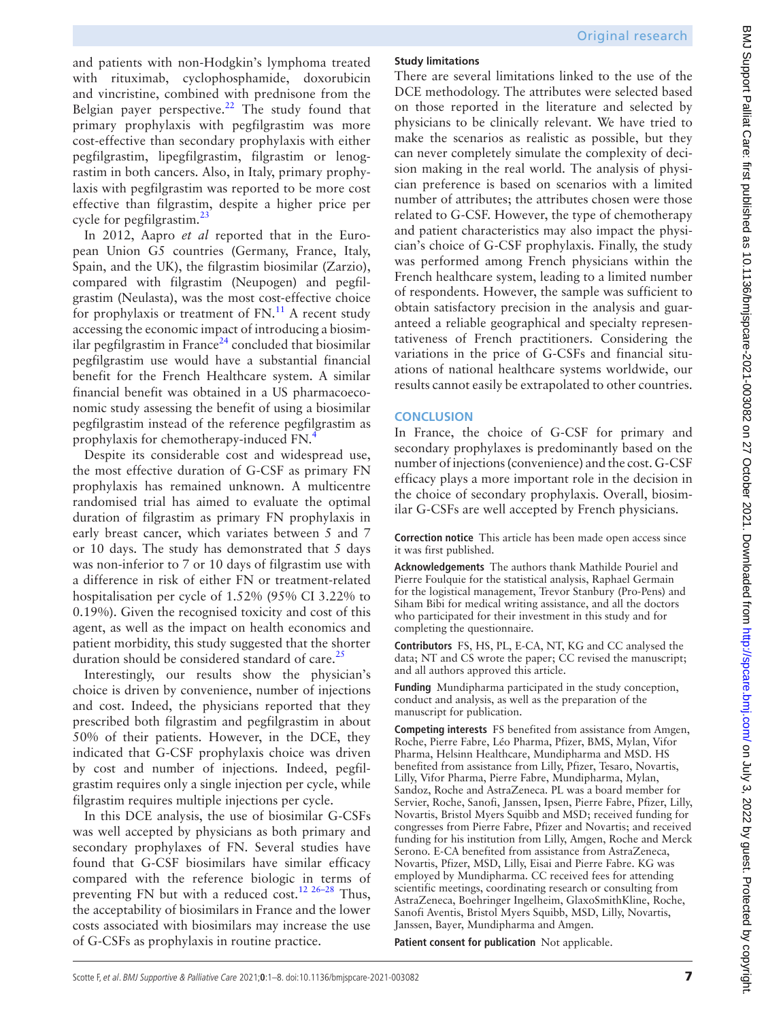and patients with non-Hodgkin's lymphoma treated with rituximab, cyclophosphamide, doxorubicin and vincristine, combined with prednisone from the Belgian payer perspective.<sup>22</sup> The study found that primary prophylaxis with pegfilgrastim was more cost-effective than secondary prophylaxis with either pegfilgrastim, lipegfilgrastim, filgrastim or lenograstim in both cancers. Also, in Italy, primary prophylaxis with pegfilgrastim was reported to be more cost effective than filgrastim, despite a higher price per cycle for pegfilgrastim.<sup>[23](#page-7-15)</sup>

In 2012, Aapro *et al* reported that in the European Union G5 countries (Germany, France, Italy, Spain, and the UK), the filgrastim biosimilar (Zarzio), compared with filgrastim (Neupogen) and pegfilgrastim (Neulasta), was the most cost-effective choice for prophylaxis or treatment of  $FN$ .<sup>11</sup> A recent study accessing the economic impact of introducing a biosimilar pegfilgrastim in France<sup>24</sup> concluded that biosimilar pegfilgrastim use would have a substantial financial benefit for the French Healthcare system. A similar financial benefit was obtained in a US pharmacoeconomic study assessing the benefit of using a biosimilar pegfilgrastim instead of the reference pegfilgrastim as prophylaxis for chemotherapy-induced FN.[4](#page-7-7)

Despite its considerable cost and widespread use, the most effective duration of G-CSF as primary FN prophylaxis has remained unknown. A multicentre randomised trial has aimed to evaluate the optimal duration of filgrastim as primary FN prophylaxis in early breast cancer, which variates between 5 and 7 or 10 days. The study has demonstrated that 5 days was non-inferior to 7 or 10 days of filgrastim use with a difference in risk of either FN or treatment-related hospitalisation per cycle of 1.52% (95% CI 3.22% to 0.19%). Given the recognised toxicity and cost of this agent, as well as the impact on health economics and patient morbidity, this study suggested that the shorter duration should be considered standard of care. $^{25}$ 

Interestingly, our results show the physician's choice is driven by convenience, number of injections and cost. Indeed, the physicians reported that they prescribed both filgrastim and pegfilgrastim in about 50% of their patients. However, in the DCE, they indicated that G-CSF prophylaxis choice was driven by cost and number of injections. Indeed, pegfilgrastim requires only a single injection per cycle, while filgrastim requires multiple injections per cycle.

In this DCE analysis, the use of biosimilar G-CSFs was well accepted by physicians as both primary and secondary prophylaxes of FN. Several studies have found that G-CSF biosimilars have similar efficacy compared with the reference biologic in terms of preventing FN but with a reduced cost.[12 26–28](#page-7-6) Thus, the acceptability of biosimilars in France and the lower costs associated with biosimilars may increase the use of G-CSFs as prophylaxis in routine practice.

# **Study limitations**

There are several limitations linked to the use of the DCE methodology. The attributes were selected based on those reported in the literature and selected by physicians to be clinically relevant. We have tried to make the scenarios as realistic as possible, but they can never completely simulate the complexity of decision making in the real world. The analysis of physician preference is based on scenarios with a limited number of attributes; the attributes chosen were those related to G-CSF. However, the type of chemotherapy and patient characteristics may also impact the physician's choice of G-CSF prophylaxis. Finally, the study was performed among French physicians within the French healthcare system, leading to a limited number of respondents. However, the sample was sufficient to obtain satisfactory precision in the analysis and guaranteed a reliable geographical and specialty representativeness of French practitioners. Considering the variations in the price of G-CSFs and financial situations of national healthcare systems worldwide, our results cannot easily be extrapolated to other countries.

# **CONCLUSION**

In France, the choice of G-CSF for primary and secondary prophylaxes is predominantly based on the number of injections (convenience) and the cost. G-CSF efficacy plays a more important role in the decision in the choice of secondary prophylaxis. Overall, biosimilar G-CSFs are well accepted by French physicians.

**Correction notice** This article has been made open access since it was first published.

**Acknowledgements** The authors thank Mathilde Pouriel and Pierre Foulquie for the statistical analysis, Raphael Germain for the logistical management, Trevor Stanbury (Pro-Pens) and Siham Bibi for medical writing assistance, and all the doctors who participated for their investment in this study and for completing the questionnaire.

**Contributors** FS, HS, PL, E-CA, NT, KG and CC analysed the data; NT and CS wrote the paper; CC revised the manuscript; and all authors approved this article.

**Funding** Mundipharma participated in the study conception, conduct and analysis, as well as the preparation of the manuscript for publication.

**Competing interests** FS benefited from assistance from Amgen, Roche, Pierre Fabre, Léo Pharma, Pfizer, BMS, Mylan, Vifor Pharma, Helsinn Healthcare, Mundipharma and MSD. HS benefited from assistance from Lilly, Pfizer, Tesaro, Novartis, Lilly, Vifor Pharma, Pierre Fabre, Mundipharma, Mylan, Sandoz, Roche and AstraZeneca. PL was a board member for Servier, Roche, Sanofi, Janssen, Ipsen, Pierre Fabre, Pfizer, Lilly, Novartis, Bristol Myers Squibb and MSD; received funding for congresses from Pierre Fabre, Pfizer and Novartis; and received funding for his institution from Lilly, Amgen, Roche and Merck Serono. E-CA benefited from assistance from AstraZeneca, Novartis, Pfizer, MSD, Lilly, Eisai and Pierre Fabre. KG was employed by Mundipharma. CC received fees for attending scientific meetings, coordinating research or consulting from AstraZeneca, Boehringer Ingelheim, GlaxoSmithKline, Roche, Sanofi Aventis, Bristol Myers Squibb, MSD, Lilly, Novartis, Janssen, Bayer, Mundipharma and Amgen.

**Patient consent for publication** Not applicable.